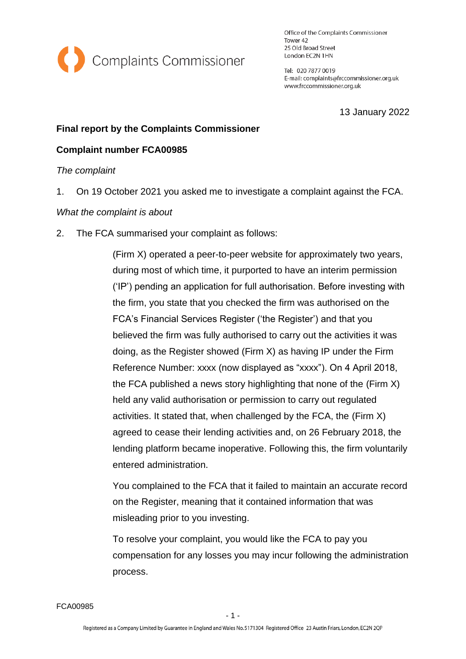

Office of the Complaints Commissioner Tower 42 25 Old Broad Street London EC2N 1HN

Tel: 020 7877 0019 E-mail: complaints@frccommissioner.org.uk www.frccommissioner.org.uk

13 January 2022

## **Final report by the Complaints Commissioner**

## **Complaint number FCA00985**

*The complaint*

1. On 19 October 2021 you asked me to investigate a complaint against the FCA.

### *What the complaint is about*

2. The FCA summarised your complaint as follows:

(Firm X) operated a peer-to-peer website for approximately two years, during most of which time, it purported to have an interim permission ('IP') pending an application for full authorisation. Before investing with the firm, you state that you checked the firm was authorised on the FCA's Financial Services Register ('the Register') and that you believed the firm was fully authorised to carry out the activities it was doing, as the Register showed (Firm X) as having IP under the Firm Reference Number: xxxx (now displayed as "xxxx"). On 4 April 2018, the FCA published a news story highlighting that none of the (Firm X) held any valid authorisation or permission to carry out regulated activities. It stated that, when challenged by the FCA, the (Firm X) agreed to cease their lending activities and, on 26 February 2018, the lending platform became inoperative. Following this, the firm voluntarily entered administration.

You complained to the FCA that it failed to maintain an accurate record on the Register, meaning that it contained information that was misleading prior to you investing.

To resolve your complaint, you would like the FCA to pay you compensation for any losses you may incur following the administration process.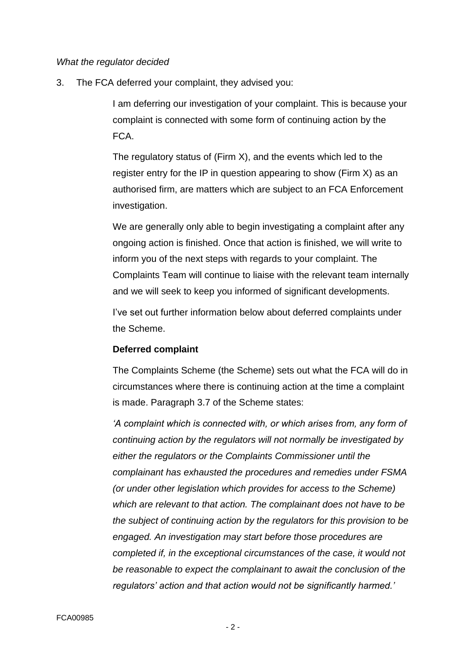### *What the regulator decided*

3. The FCA deferred your complaint, they advised you:

I am deferring our investigation of your complaint. This is because your complaint is connected with some form of continuing action by the FCA.

The regulatory status of (Firm X), and the events which led to the register entry for the IP in question appearing to show (Firm X) as an authorised firm, are matters which are subject to an FCA Enforcement investigation.

We are generally only able to begin investigating a complaint after any ongoing action is finished. Once that action is finished, we will write to inform you of the next steps with regards to your complaint. The Complaints Team will continue to liaise with the relevant team internally and we will seek to keep you informed of significant developments.

I've set out further information below about deferred complaints under the Scheme.

#### **Deferred complaint**

The Complaints Scheme (the Scheme) sets out what the FCA will do in circumstances where there is continuing action at the time a complaint is made. Paragraph 3.7 of the Scheme states:

*'A complaint which is connected with, or which arises from, any form of continuing action by the regulators will not normally be investigated by either the regulators or the Complaints Commissioner until the complainant has exhausted the procedures and remedies under FSMA (or under other legislation which provides for access to the Scheme) which are relevant to that action. The complainant does not have to be the subject of continuing action by the regulators for this provision to be engaged. An investigation may start before those procedures are completed if, in the exceptional circumstances of the case, it would not be reasonable to expect the complainant to await the conclusion of the regulators' action and that action would not be significantly harmed.'*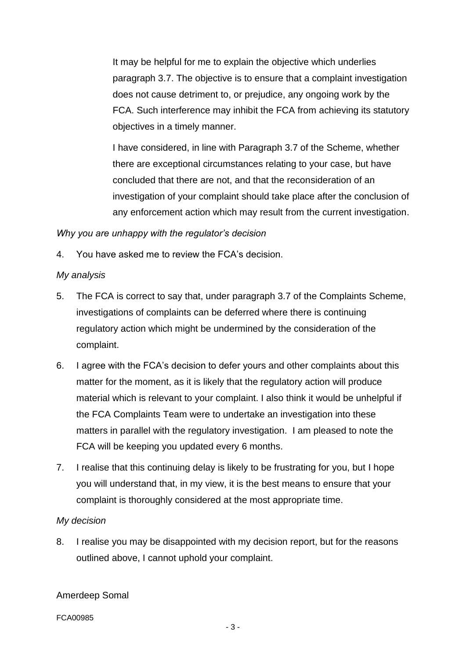It may be helpful for me to explain the objective which underlies paragraph 3.7. The objective is to ensure that a complaint investigation does not cause detriment to, or prejudice, any ongoing work by the FCA. Such interference may inhibit the FCA from achieving its statutory objectives in a timely manner.

I have considered, in line with Paragraph 3.7 of the Scheme, whether there are exceptional circumstances relating to your case, but have concluded that there are not, and that the reconsideration of an investigation of your complaint should take place after the conclusion of any enforcement action which may result from the current investigation.

*Why you are unhappy with the regulator's decision*

4. You have asked me to review the FCA's decision.

### *My analysis*

- 5. The FCA is correct to say that, under paragraph 3.7 of the Complaints Scheme, investigations of complaints can be deferred where there is continuing regulatory action which might be undermined by the consideration of the complaint.
- 6. I agree with the FCA's decision to defer yours and other complaints about this matter for the moment, as it is likely that the regulatory action will produce material which is relevant to your complaint. I also think it would be unhelpful if the FCA Complaints Team were to undertake an investigation into these matters in parallel with the regulatory investigation. I am pleased to note the FCA will be keeping you updated every 6 months.
- 7. I realise that this continuing delay is likely to be frustrating for you, but I hope you will understand that, in my view, it is the best means to ensure that your complaint is thoroughly considered at the most appropriate time.

# *My decision*

8. I realise you may be disappointed with my decision report, but for the reasons outlined above, I cannot uphold your complaint.

Amerdeep Somal

FCA00985